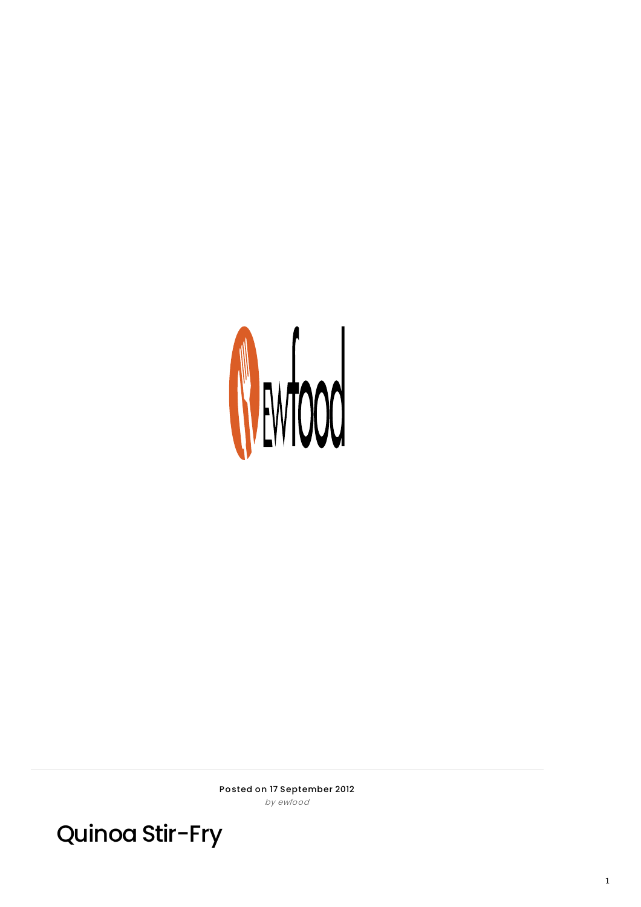

Posted on 17 September 2012 by ewfood